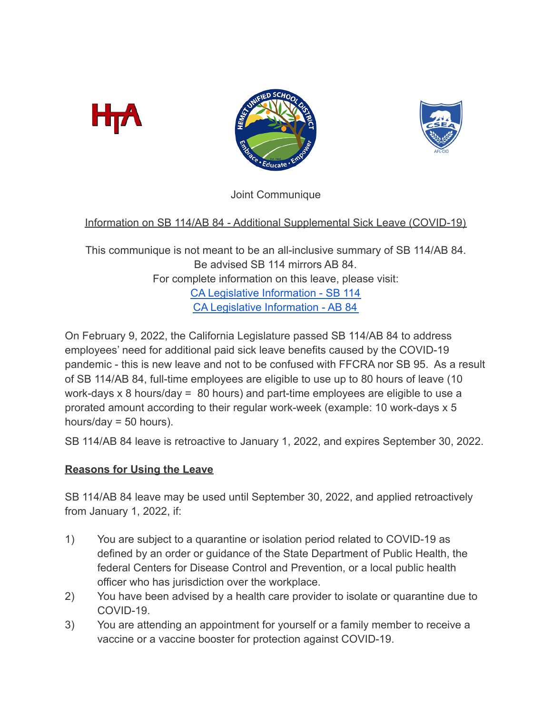





Joint Communique

# Information on SB 114/AB 84 - Additional Supplemental Sick Leave (COVID-19)

This communique is not meant to be an all-inclusive summary of SB 114/AB 84. Be advised SB 114 mirrors AB 84. For complete information on this leave, please visit: [CA Legislative Information - SB 114](https://leginfo.legislature.ca.gov/faces/billTextClient.xhtml?bill_id=202120220SB114) [CA Legislative Information - AB 84](https://leginfo.legislature.ca.gov/faces/billTextClient.xhtml?bill_id=202120220AB84)

On February 9, 2022, the California Legislature passed SB 114/AB 84 to address employees' need for additional paid sick leave benefits caused by the COVID-19 pandemic - this is new leave and not to be confused with FFCRA nor SB 95. As a result of SB 114/AB 84, full-time employees are eligible to use up to 80 hours of leave (10 work-days x 8 hours/day = 80 hours) and part-time employees are eligible to use a prorated amount according to their regular work-week (example: 10 work-days x 5 hours/day = 50 hours).

SB 114/AB 84 leave is retroactive to January 1, 2022, and expires September 30, 2022.

### **Reasons for Using the Leave**

SB 114/AB 84 leave may be used until September 30, 2022, and applied retroactively from January 1, 2022, if:

- 1) You are subject to a quarantine or isolation period related to COVID-19 as defined by an order or guidance of the State Department of Public Health, the federal Centers for Disease Control and Prevention, or a local public health officer who has jurisdiction over the workplace.
- 2) You have been advised by a health care provider to isolate or quarantine due to COVID-19.
- 3) You are attending an appointment for yourself or a family member to receive a vaccine or a vaccine booster for protection against COVID-19.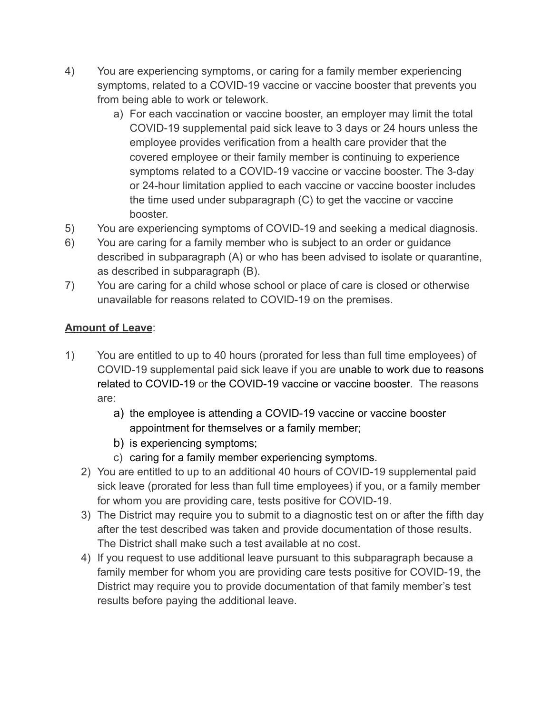- 4) You are experiencing symptoms, or caring for a family member experiencing symptoms, related to a COVID-19 vaccine or vaccine booster that prevents you from being able to work or telework.
	- a) For each vaccination or vaccine booster, an employer may limit the total COVID-19 supplemental paid sick leave to 3 days or 24 hours unless the employee provides verification from a health care provider that the covered employee or their family member is continuing to experience symptoms related to a COVID-19 vaccine or vaccine booster. The 3-day or 24-hour limitation applied to each vaccine or vaccine booster includes the time used under subparagraph (C) to get the vaccine or vaccine booster.
- 5) You are experiencing symptoms of COVID-19 and seeking a medical diagnosis.
- 6) You are caring for a family member who is subject to an order or guidance described in subparagraph (A) or who has been advised to isolate or quarantine, as described in subparagraph (B).
- 7) You are caring for a child whose school or place of care is closed or otherwise unavailable for reasons related to COVID-19 on the premises.

# **Amount of Leave**:

- 1) You are entitled to up to 40 hours (prorated for less than full time employees) of COVID-19 supplemental paid sick leave if you are unable to work due to reasons related to COVID-19 or the COVID-19 vaccine or vaccine booster. The reasons are:
	- a) the employee is attending a COVID-19 vaccine or vaccine booster appointment for themselves or a family member;
	- b) is experiencing symptoms;
	- c) caring for a family member experiencing symptoms.
	- 2) You are entitled to up to an additional 40 hours of COVID-19 supplemental paid sick leave (prorated for less than full time employees) if you, or a family member for whom you are providing care, tests positive for COVID-19.
	- 3) The District may require you to submit to a diagnostic test on or after the fifth day after the test described was taken and provide documentation of those results. The District shall make such a test available at no cost.
	- 4) If you request to use additional leave pursuant to this subparagraph because a family member for whom you are providing care tests positive for COVID-19, the District may require you to provide documentation of that family member's test results before paying the additional leave.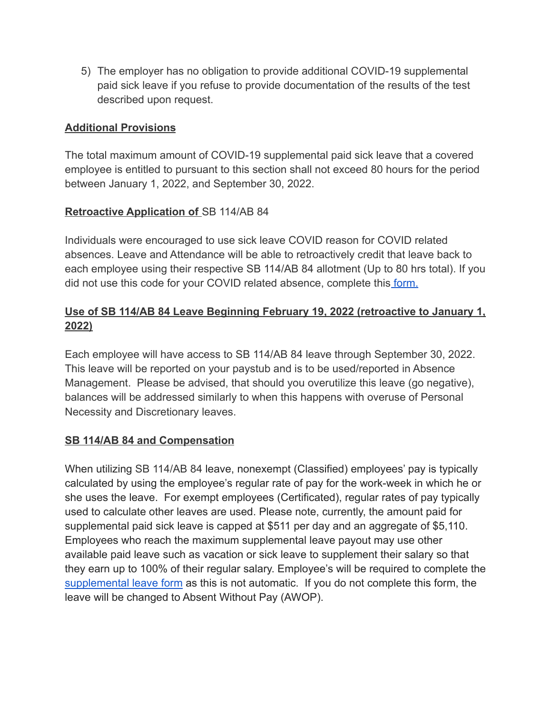5) The employer has no obligation to provide additional COVID-19 supplemental paid sick leave if you refuse to provide documentation of the results of the test described upon request.

#### **Additional Provisions**

The total maximum amount of COVID-19 supplemental paid sick leave that a covered employee is entitled to pursuant to this section shall not exceed 80 hours for the period between January 1, 2022, and September 30, 2022.

#### **Retroactive Application of** SB 114/AB 84

Individuals were encouraged to use sick leave COVID reason for COVID related absences. Leave and Attendance will be able to retroactively credit that leave back to each employee using their respective SB 114/AB 84 allotment (Up to 80 hrs total). If you did not use this code for your COVID related absence, complete this [form.](https://docs.google.com/forms/d/e/1FAIpQLSdyYwFJV26lH72JVv941hQhXViDEZKzFSGYeFHfgwEh9YK24g/viewform?usp=sf_link)

### **Use of SB 114/AB 84 Leave Beginning February 19, 2022 (retroactive to January 1, 2022)**

Each employee will have access to SB 114/AB 84 leave through September 30, 2022. This leave will be reported on your paystub and is to be used/reported in Absence Management. Please be advised, that should you overutilize this leave (go negative), balances will be addressed similarly to when this happens with overuse of Personal Necessity and Discretionary leaves.

#### **SB 114/AB 84 and Compensation**

When utilizing SB 114/AB 84 leave, nonexempt (Classified) employees' pay is typically calculated by using the employee's regular rate of pay for the work-week in which he or she uses the leave. For exempt employees (Certificated), regular rates of pay typically used to calculate other leaves are used. Please note, currently, the amount paid for supplemental paid sick leave is capped at \$511 per day and an aggregate of \$5,110. Employees who reach the maximum supplemental leave payout may use other available paid leave such as vacation or sick leave to supplement their salary so that they earn up to 100% of their regular salary. Employee's will be required to complete the [supplemental leave form](https://docs.google.com/forms/d/e/1FAIpQLSd00DWoqQqnhgj5eXrV324AsrDt4OuajGsA5Fl3hBb-N9PJgA/viewform?usp=sf_link) as this is not automatic. If you do not complete this form, the leave will be changed to Absent Without Pay (AWOP).